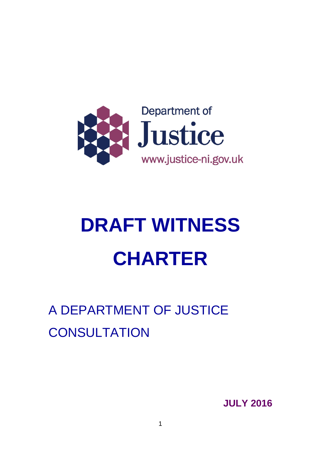

# **DRAFT WITNESS CHARTER**

# <span id="page-0-0"></span>A DEPARTMENT OF JUSTICE **CONSULTATION**

**JULY 2016**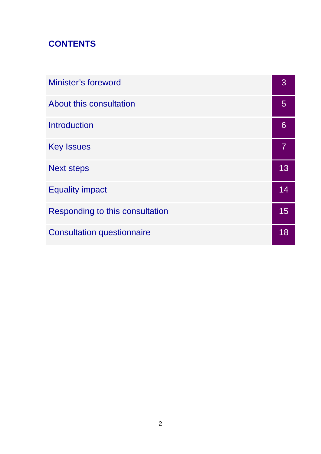# **CONTENTS**

| Minister's foreword               |    |
|-----------------------------------|----|
| About this consultation           | 5  |
| Introduction                      | 6  |
| <b>Key Issues</b>                 | 7  |
| <b>Next steps</b>                 | 13 |
| <b>Equality impact</b>            | 14 |
| Responding to this consultation   | 15 |
| <b>Consultation questionnaire</b> | 18 |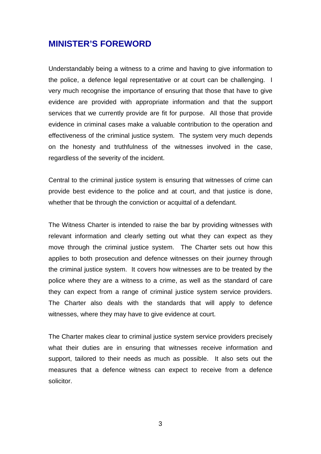#### **MINISTER'S FOREWORD**

Understandably being a witness to a crime and having to give information to the police, a defence legal representative or at court can be challenging. I very much recognise the importance of ensuring that those that have to give evidence are provided with appropriate information and that the support services that we currently provide are fit for purpose. All those that provide evidence in criminal cases make a valuable contribution to the operation and effectiveness of the criminal justice system. The system very much depends on the honesty and truthfulness of the witnesses involved in the case, regardless of the severity of the incident.

Central to the criminal justice system is ensuring that witnesses of crime can provide best evidence to the police and at court, and that justice is done, whether that be through the conviction or acquittal of a defendant.

The Witness Charter is intended to raise the bar by providing witnesses with relevant information and clearly setting out what they can expect as they move through the criminal justice system. The Charter sets out how this applies to both prosecution and defence witnesses on their journey through the criminal justice system. It covers how witnesses are to be treated by the police where they are a witness to a crime, as well as the standard of care they can expect from a range of criminal justice system service providers. The Charter also deals with the standards that will apply to defence witnesses, where they may have to give evidence at court.

The Charter makes clear to criminal justice system service providers precisely what their duties are in ensuring that witnesses receive information and support, tailored to their needs as much as possible. It also sets out the measures that a defence witness can expect to receive from a defence solicitor.

3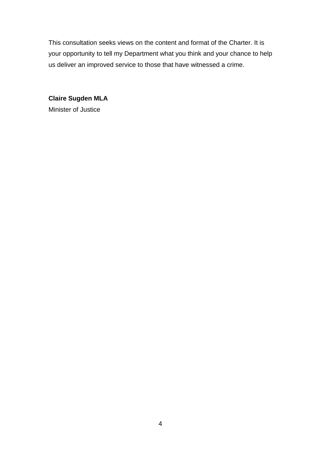This consultation seeks views on the content and format of the Charter. It is your opportunity to tell my Department what you think and your chance to help us deliver an improved service to those that have witnessed a crime.

**Claire Sugden MLA** Minister of Justice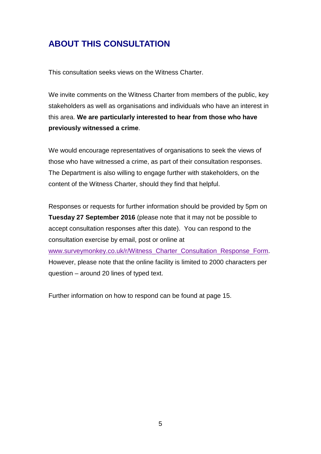# **ABOUT THIS CONSULTATION**

This consultation seeks views on the Witness Charter.

We invite comments on the Witness Charter from members of the public, key stakeholders as well as organisations and individuals who have an interest in this area. **We are particularly interested to hear from those who have previously witnessed a crime**.

We would encourage representatives of organisations to seek the views of those who have witnessed a crime, as part of their consultation responses. The Department is also willing to engage further with stakeholders, on the content of the Witness Charter, should they find that helpful.

Responses or requests for further information should be provided by 5pm on **Tuesday 27 September 2016** (please note that it may not be possible to accept consultation responses after this date). You can respond to the consultation exercise by email, post or online at [www.surveymonkey.co.uk/r/Witness\\_Charter\\_Consultation\\_Response\\_Form.](http://www.surveymonkey.co.uk/r/Witness_Charter_Consultation_Response_Form) However, please note that the online facility is limited to 2000 characters per question – around 20 lines of typed text.

Further information on how to respond can be found at page 15.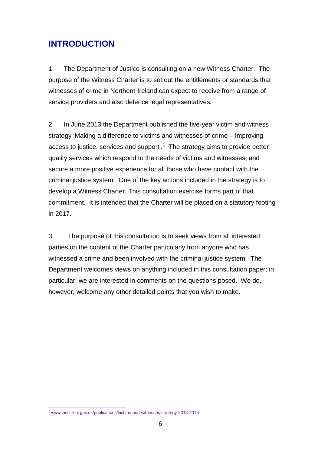# **INTRODUCTION**

1. The Department of Justice is consulting on a new Witness Charter. The purpose of the Witness Charter is to set out the entitlements or standards that witnesses of crime in Northern Ireland can expect to receive from a range of service providers and also defence legal representatives.

2. In June 2013 the Department published the five-year victim and witness strategy 'Making a difference to victims and witnesses of crime – Improving access to justice, services and support'. [1](#page-0-0) The strategy aims to provide better quality services which respond to the needs of victims and witnesses, and secure a more positive experience for all those who have contact with the criminal justice system. One of the key actions included in the strategy is to develop a Witness Charter. This consultation exercise forms part of that commitment. It is intended that the Charter will be placed on a statutory footing in 2017.

3. The purpose of this consultation is to seek views from all interested parties on the content of the Charter particularly from anyone who has witnessed a crime and been involved with the criminal justice system. The Department welcomes views on anything included in this consultation paper; in particular, we are interested in comments on the questions posed. We do, however, welcome any other detailed points that you wish to make.

<sup>&</sup>lt;sup>1</sup> www.iustice-ni.gov.uk/publications/victims-and-witnesses-strategy-2013-2018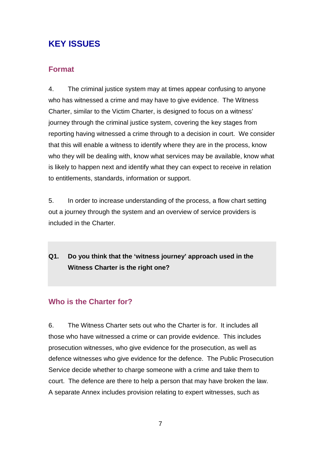# **KEY ISSUES**

#### **Format**

4. The criminal justice system may at times appear confusing to anyone who has witnessed a crime and may have to give evidence. The Witness Charter, similar to the Victim Charter, is designed to focus on a witness' journey through the criminal justice system, covering the key stages from reporting having witnessed a crime through to a decision in court. We consider that this will enable a witness to identify where they are in the process, know who they will be dealing with, know what services may be available, know what is likely to happen next and identify what they can expect to receive in relation to entitlements, standards, information or support.

5. In order to increase understanding of the process, a flow chart setting out a journey through the system and an overview of service providers is included in the Charter.

## **Q1. Do you think that the 'witness journey' approach used in the Witness Charter is the right one?**

## **Who is the Charter for?**

6. The Witness Charter sets out who the Charter is for. It includes all those who have witnessed a crime or can provide evidence. This includes prosecution witnesses, who give evidence for the prosecution, as well as defence witnesses who give evidence for the defence. The Public Prosecution Service decide whether to charge someone with a crime and take them to court. The defence are there to help a person that may have broken the law. A separate Annex includes provision relating to expert witnesses, such as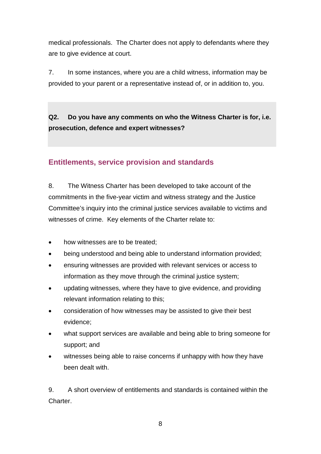medical professionals. The Charter does not apply to defendants where they are to give evidence at court.

7. In some instances, where you are a child witness, information may be provided to your parent or a representative instead of, or in addition to, you.

**Q2. Do you have any comments on who the Witness Charter is for, i.e. prosecution, defence and expert witnesses?**

#### **Entitlements, service provision and standards**

8. The Witness Charter has been developed to take account of the commitments in the five-year victim and witness strategy and the Justice Committee's inquiry into the criminal justice services available to victims and witnesses of crime. Key elements of the Charter relate to:

- how witnesses are to be treated;
- being understood and being able to understand information provided;
- ensuring witnesses are provided with relevant services or access to information as they move through the criminal justice system;
- updating witnesses, where they have to give evidence, and providing relevant information relating to this;
- consideration of how witnesses may be assisted to give their best evidence;
- what support services are available and being able to bring someone for support; and
- witnesses being able to raise concerns if unhappy with how they have been dealt with.

9. A short overview of entitlements and standards is contained within the **Charter**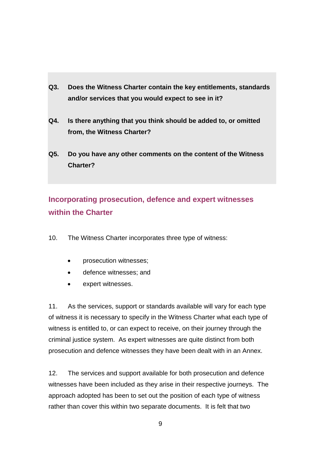- **Q3. Does the Witness Charter contain the key entitlements, standards and/or services that you would expect to see in it?**
- **Q4. Is there anything that you think should be added to, or omitted from, the Witness Charter?**
- **Q5. Do you have any other comments on the content of the Witness Charter?**

# **Incorporating prosecution, defence and expert witnesses within the Charter**

- 10. The Witness Charter incorporates three type of witness:
	- prosecution witnesses;
	- defence witnesses; and
	- expert witnesses.

11. As the services, support or standards available will vary for each type of witness it is necessary to specify in the Witness Charter what each type of witness is entitled to, or can expect to receive, on their journey through the criminal justice system. As expert witnesses are quite distinct from both prosecution and defence witnesses they have been dealt with in an Annex.

12. The services and support available for both prosecution and defence witnesses have been included as they arise in their respective journeys. The approach adopted has been to set out the position of each type of witness rather than cover this within two separate documents. It is felt that two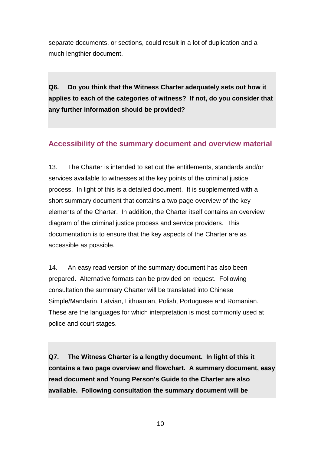separate documents, or sections, could result in a lot of duplication and a much lengthier document.

**Q6. Do you think that the Witness Charter adequately sets out how it applies to each of the categories of witness? If not, do you consider that any further information should be provided?**

#### **Accessibility of the summary document and overview material**

13. The Charter is intended to set out the entitlements, standards and/or services available to witnesses at the key points of the criminal justice process. In light of this is a detailed document. It is supplemented with a short summary document that contains a two page overview of the key elements of the Charter. In addition, the Charter itself contains an overview diagram of the criminal justice process and service providers. This documentation is to ensure that the key aspects of the Charter are as accessible as possible.

14. An easy read version of the summary document has also been prepared. Alternative formats can be provided on request. Following consultation the summary Charter will be translated into Chinese Simple/Mandarin, Latvian, Lithuanian, Polish, Portuguese and Romanian. These are the languages for which interpretation is most commonly used at police and court stages.

**Q7. The Witness Charter is a lengthy document. In light of this it contains a two page overview and flowchart. A summary document, easy read document and Young Person's Guide to the Charter are also available. Following consultation the summary document will be** 

10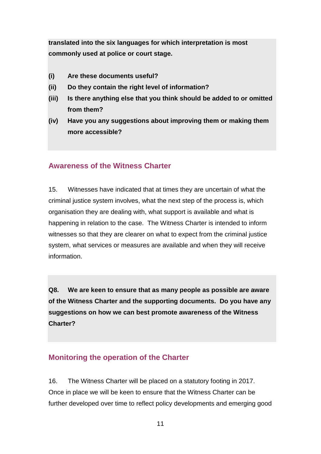**translated into the six languages for which interpretation is most commonly used at police or court stage.** 

- **(i) Are these documents useful?**
- **(ii) Do they contain the right level of information?**
- **(iii) Is there anything else that you think should be added to or omitted from them?**
- **(iv) Have you any suggestions about improving them or making them more accessible?**

#### **Awareness of the Witness Charter**

15. Witnesses have indicated that at times they are uncertain of what the criminal justice system involves, what the next step of the process is, which organisation they are dealing with, what support is available and what is happening in relation to the case. The Witness Charter is intended to inform witnesses so that they are clearer on what to expect from the criminal justice system, what services or measures are available and when they will receive information.

**Q8. We are keen to ensure that as many people as possible are aware of the Witness Charter and the supporting documents. Do you have any suggestions on how we can best promote awareness of the Witness Charter?**

#### **Monitoring the operation of the Charter**

16. The Witness Charter will be placed on a statutory footing in 2017. Once in place we will be keen to ensure that the Witness Charter can be further developed over time to reflect policy developments and emerging good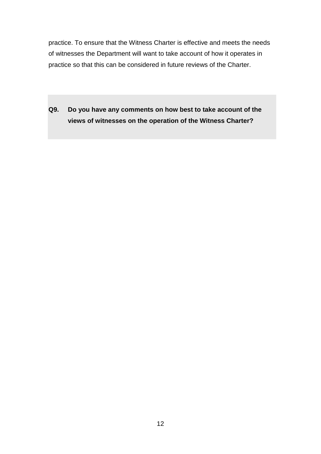practice. To ensure that the Witness Charter is effective and meets the needs of witnesses the Department will want to take account of how it operates in practice so that this can be considered in future reviews of the Charter.

**Q9. Do you have any comments on how best to take account of the views of witnesses on the operation of the Witness Charter?**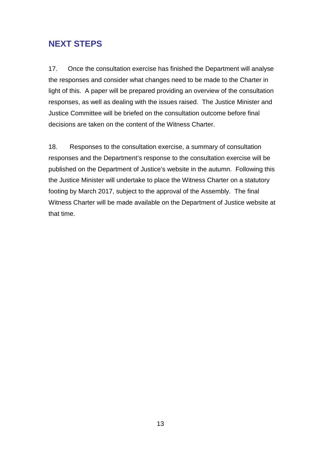# **NEXT STEPS**

17. Once the consultation exercise has finished the Department will analyse the responses and consider what changes need to be made to the Charter in light of this. A paper will be prepared providing an overview of the consultation responses, as well as dealing with the issues raised. The Justice Minister and Justice Committee will be briefed on the consultation outcome before final decisions are taken on the content of the Witness Charter.

18. Responses to the consultation exercise, a summary of consultation responses and the Department's response to the consultation exercise will be published on the Department of Justice's website in the autumn. Following this the Justice Minister will undertake to place the Witness Charter on a statutory footing by March 2017, subject to the approval of the Assembly. The final Witness Charter will be made available on the Department of Justice website at that time.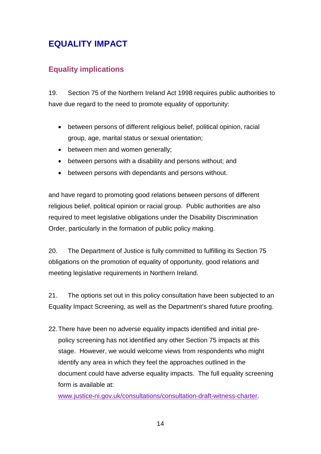# **EQUALITY IMPACT**

#### **Equality implications**

19. Section 75 of the Northern Ireland Act 1998 requires public authorities to have due regard to the need to promote equality of opportunity:

- between persons of different religious belief, political opinion, racial group, age, marital status or sexual orientation;
- between men and women generally;
- between persons with a disability and persons without; and
- between persons with dependants and persons without.

and have regard to promoting good relations between persons of different religious belief, political opinion or racial group. Public authorities are also required to meet legislative obligations under the Disability Discrimination Order, particularly in the formation of public policy making.

20. The Department of Justice is fully committed to fulfilling its Section 75 obligations on the promotion of equality of opportunity, good relations and meeting legislative requirements in Northern Ireland.

21. The options set out in this policy consultation have been subjected to an Equality Impact Screening, as well as the Department's shared future proofing.

22.There have been no adverse equality impacts identified and initial prepolicy screening has not identified any other Section 75 impacts at this stage. However, we would welcome views from respondents who might identify any area in which they feel the approaches outlined in the document could have adverse equality impacts. The full equality screening form is available at:

[www.justice-ni.gov.uk/consultations/consultation-draft-witness-charter.](http://www.justice-ni.gov.uk/consultations/consultation-draft-witness-charter)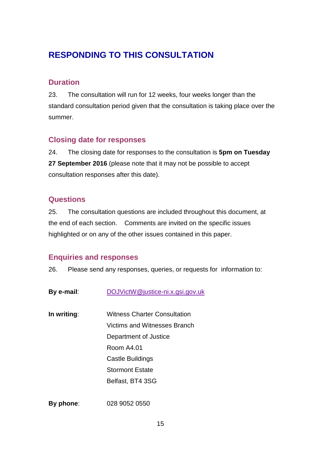# **RESPONDING TO THIS CONSULTATION**

#### **Duration**

23. The consultation will run for 12 weeks, four weeks longer than the standard consultation period given that the consultation is taking place over the summer.

#### **Closing date for responses**

24. The closing date for responses to the consultation is **5pm on Tuesday 27 September 2016** (please note that it may not be possible to accept consultation responses after this date).

#### **Questions**

25. The consultation questions are included throughout this document, at the end of each section. Comments are invited on the specific issues highlighted or on any of the other issues contained in this paper.

#### **Enquiries and responses**

26. Please send any responses, queries, or requests for information to:

| By e-mail:  | DOJVictW@justice-ni.x.gsi.gov.uk |
|-------------|----------------------------------|
| In writing: | Witness Charter Consultation     |
|             | Victims and Witnesses Branch     |
|             | Department of Justice            |
|             | <b>Room A4.01</b>                |
|             | Castle Buildings                 |
|             | <b>Stormont Estate</b>           |
|             | Belfast, BT4 3SG                 |
|             |                                  |

**By phone**: 028 9052 0550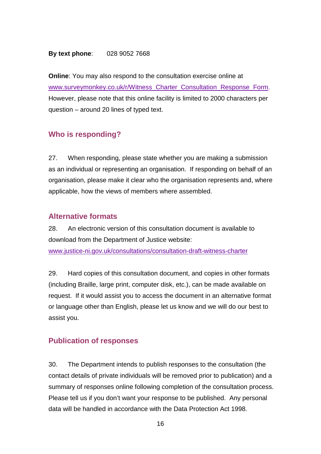#### **By text phone**: 028 9052 7668

**Online**: You may also respond to the consultation exercise online at [www.surveymonkey.co.uk/r/Witness\\_Charter\\_Consultation\\_Response\\_Form.](http://www.surveymonkey.co.uk/r/Witness_Charter_Consultation_Response_Form) However, please note that this online facility is limited to 2000 characters per question – around 20 lines of typed text.

#### **Who is responding?**

27. When responding, please state whether you are making a submission as an individual or representing an organisation. If responding on behalf of an organisation, please make it clear who the organisation represents and, where applicable, how the views of members where assembled.

#### **Alternative formats**

28. An electronic version of this consultation document is available to download from the Department of Justice website: [www.justice-ni.gov.uk/consultations/consultation-draft-witness-charter](http://www.justice-ni.gov.uk/consultations/consultation-draft-witness-charter)

29. Hard copies of this consultation document, and copies in other formats (including Braille, large print, computer disk, etc.), can be made available on request. If it would assist you to access the document in an alternative format or language other than English, please let us know and we will do our best to assist you.

#### **Publication of responses**

30. The Department intends to publish responses to the consultation (the contact details of private individuals will be removed prior to publication) and a summary of responses online following completion of the consultation process. Please tell us if you don't want your response to be published. Any personal data will be handled in accordance with the Data Protection Act 1998.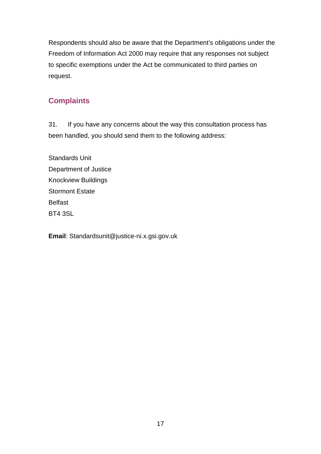Respondents should also be aware that the Department's obligations under the Freedom of Information Act 2000 may require that any responses not subject to specific exemptions under the Act be communicated to third parties on request.

#### **Complaints**

31. If you have any concerns about the way this consultation process has been handled, you should send them to the following address:

Standards Unit Department of Justice Knockview Buildings Stormont Estate Belfast BT4 3SL

**Email**: Standardsunit@justice-ni.x.gsi.gov.uk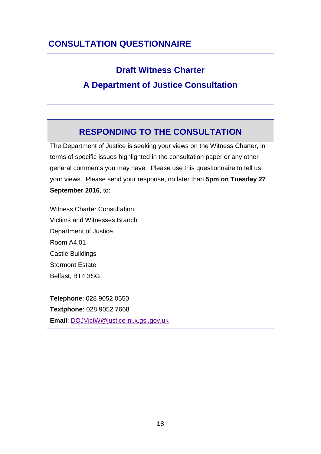# **CONSULTATION QUESTIONNAIRE**

# **Draft Witness Charter**

# **A Department of Justice Consultation**

# **RESPONDING TO THE CONSULTATION**

The Department of Justice is seeking your views on the Witness Charter, in terms of specific issues highlighted in the consultation paper or any other general comments you may have. Please use this questionnaire to tell us your views. Please send your response, no later than **5pm on Tuesday 27 September 2016**, to:

Witness Charter Consultation Victims and Witnesses Branch Department of Justice Room A4.01 Castle Buildings Stormont Estate Belfast, BT4 3SG

**Telephone**: 028 9052 0550 **Textphone**: 028 9052 7668 **Email**: [DOJVictW@justice-ni.x.gsi.gov.uk](mailto:DOJVictW@justice-ni.x.gsi.gov.uk)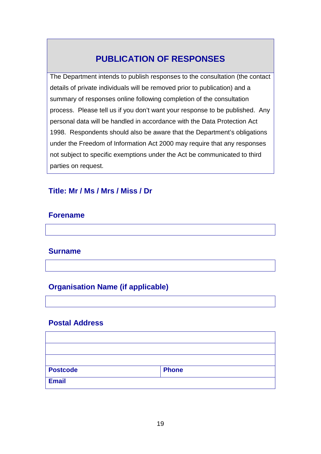# **PUBLICATION OF RESPONSES**

The Department intends to publish responses to the consultation (the contact details of private individuals will be removed prior to publication) and a summary of responses online following completion of the consultation process. Please tell us if you don't want your response to be published. Any personal data will be handled in accordance with the Data Protection Act 1998. Respondents should also be aware that the Department's obligations under the Freedom of Information Act 2000 may require that any responses not subject to specific exemptions under the Act be communicated to third parties on request.

#### **Title: Mr / Ms / Mrs / Miss / Dr**

#### **Forename**

#### **Surname**

#### **Organisation Name (if applicable)**

#### **Postal Address**

| <b>Postcode</b> | <b>Phone</b> |  |
|-----------------|--------------|--|
| <b>Email</b>    |              |  |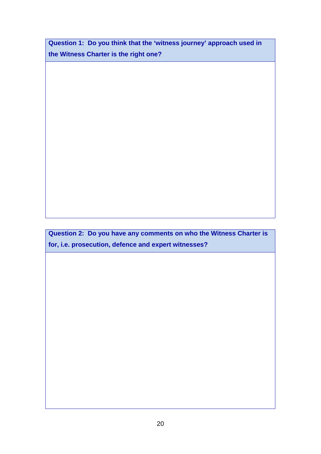**Question 1: Do you think that the 'witness journey' approach used in the Witness Charter is the right one?**

**Question 2: Do you have any comments on who the Witness Charter is for, i.e. prosecution, defence and expert witnesses?**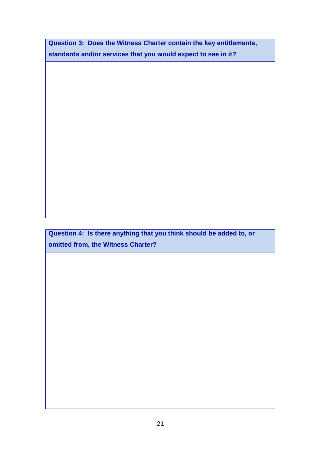**Question 3: Does the Witness Charter contain the key entitlements, standards and/or services that you would expect to see in it?**

**Question 4: Is there anything that you think should be added to, or omitted from, the Witness Charter?**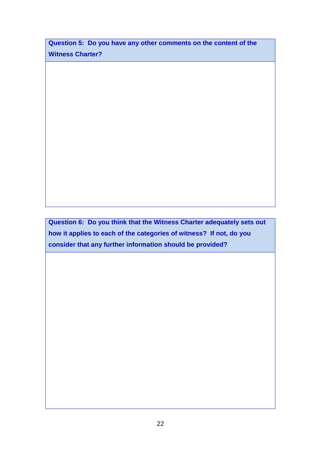**Question 5: Do you have any other comments on the content of the Witness Charter?**

**Question 6: Do you think that the Witness Charter adequately sets out how it applies to each of the categories of witness? If not, do you consider that any further information should be provided?**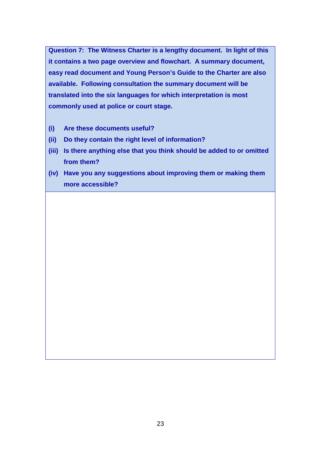**Question 7: The Witness Charter is a lengthy document. In light of this it contains a two page overview and flowchart. A summary document, easy read document and Young Person's Guide to the Charter are also available. Following consultation the summary document will be translated into the six languages for which interpretation is most commonly used at police or court stage.**

- **(i) Are these documents useful?**
- **(ii) Do they contain the right level of information?**
- **(iii) Is there anything else that you think should be added to or omitted from them?**
- **(iv) Have you any suggestions about improving them or making them more accessible?**